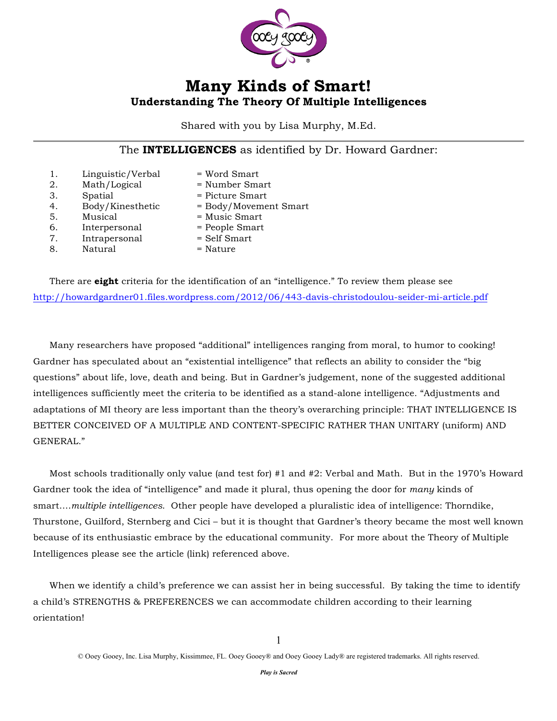

### **Many Kinds of Smart! Understanding The Theory Of Multiple Intelligences**

Shared with you by Lisa Murphy, M.Ed.

The **INTELLIGENCES** as identified by Dr. Howard Gardner:

| 1. | Linguistic/Verbal | $=$ Word Smart        |
|----|-------------------|-----------------------|
| 2. | Math/Logical      | $=$ Number Smart      |
| 3. | Spatial           | = Picture Smart       |
| 4. | Body/Kinesthetic  | = Body/Movement Smart |
| 5. | Musical           | $=$ Music Smart       |
| 6. | Interpersonal     | = People Smart        |
| 7. | Intrapersonal     | = Self Smart          |
| 8. | Natural           | $=$ Nature            |
|    |                   |                       |

There are **eight** criteria for the identification of an "intelligence." To review them please see http://howardgardner01.files.wordpress.com/2012/06/443-davis-christodoulou-seider-mi-article.pdf

Many researchers have proposed "additional" intelligences ranging from moral, to humor to cooking! Gardner has speculated about an "existential intelligence" that reflects an ability to consider the "big questions" about life, love, death and being. But in Gardner's judgement, none of the suggested additional intelligences sufficiently meet the criteria to be identified as a stand-alone intelligence. "Adjustments and adaptations of MI theory are less important than the theory's overarching principle: THAT INTELLIGENCE IS BETTER CONCEIVED OF A MULTIPLE AND CONTENT-SPECIFIC RATHER THAN UNITARY (uniform) AND GENERAL."

Most schools traditionally only value (and test for) #1 and #2: Verbal and Math. But in the 1970's Howard Gardner took the idea of "intelligence" and made it plural, thus opening the door for *many* kinds of smart….*multiple intelligences*. Other people have developed a pluralistic idea of intelligence: Thorndike, Thurstone, Guilford, Sternberg and Cici – but it is thought that Gardner's theory became the most well known because of its enthusiastic embrace by the educational community. For more about the Theory of Multiple Intelligences please see the article (link) referenced above.

When we identify a child's preference we can assist her in being successful. By taking the time to identify a child's STRENGTHS & PREFERENCES we can accommodate children according to their learning orientation!

<sup>©</sup> Ooey Gooey, Inc. Lisa Murphy, Kissimmee, FL. Ooey Gooey® and Ooey Gooey Lady® are registered trademarks. All rights reserved.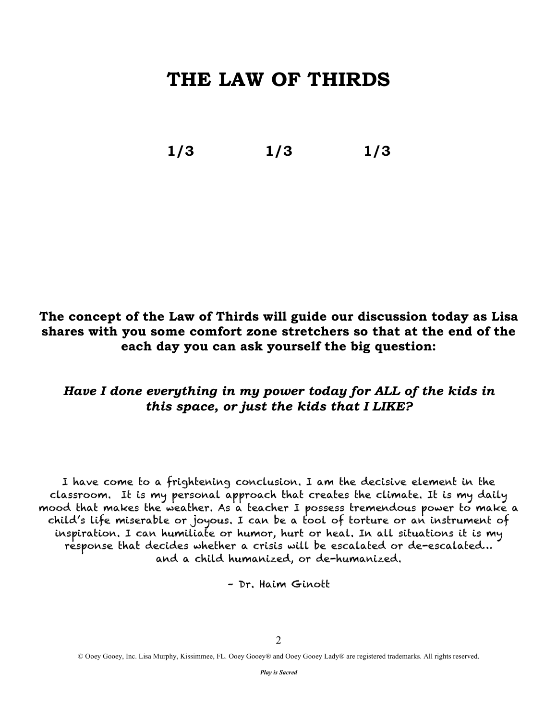### **THE LAW OF THIRDS**

**1/3 1/3 1/3**

### **The concept of the Law of Thirds will guide our discussion today as Lisa shares with you some comfort zone stretchers so that at the end of the each day you can ask yourself the big question:**

### *Have I done everything in my power today for ALL of the kids in this space, or just the kids that I LIKE?*

I have come to a frightening conclusion. I am the decisive element in the classroom. It is my personal approach that creates the climate. It is my daily mood that makes the weather. As a teacher I possess tremendous power to make a child's life miserable or joyous. I can be a tool of torture or an instrument of inspiration. I can humiliate or humor, hurt or heal. In all situations it is my response that decides whether a crisis will be escalated or de-escalated… and a child humanized, or de-humanized.

– Dr. Haim Ginott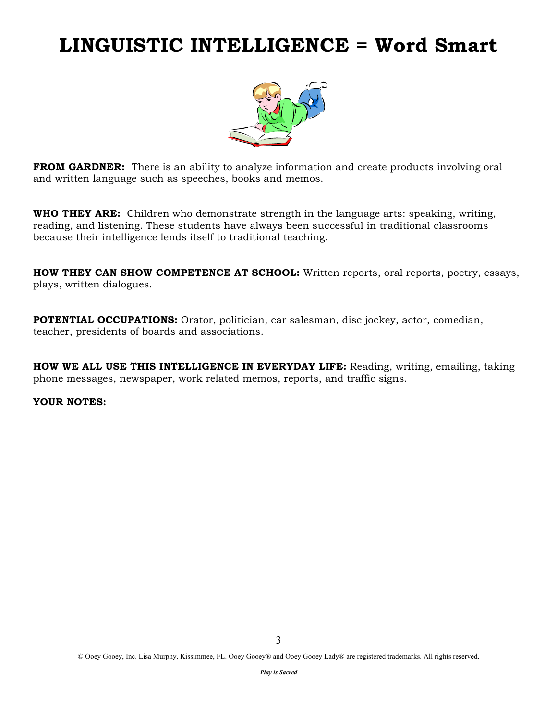### **LINGUISTIC INTELLIGENCE = Word Smart**



**FROM GARDNER:** There is an ability to analyze information and create products involving oral and written language such as speeches, books and memos.

**WHO THEY ARE:** Children who demonstrate strength in the language arts: speaking, writing, reading, and listening. These students have always been successful in traditional classrooms because their intelligence lends itself to traditional teaching.

**HOW THEY CAN SHOW COMPETENCE AT SCHOOL:** Written reports, oral reports, poetry, essays, plays, written dialogues.

**POTENTIAL OCCUPATIONS:** Orator, politician, car salesman, disc jockey, actor, comedian, teacher, presidents of boards and associations.

**HOW WE ALL USE THIS INTELLIGENCE IN EVERYDAY LIFE:** Reading, writing, emailing, taking phone messages, newspaper, work related memos, reports, and traffic signs.

#### **YOUR NOTES:**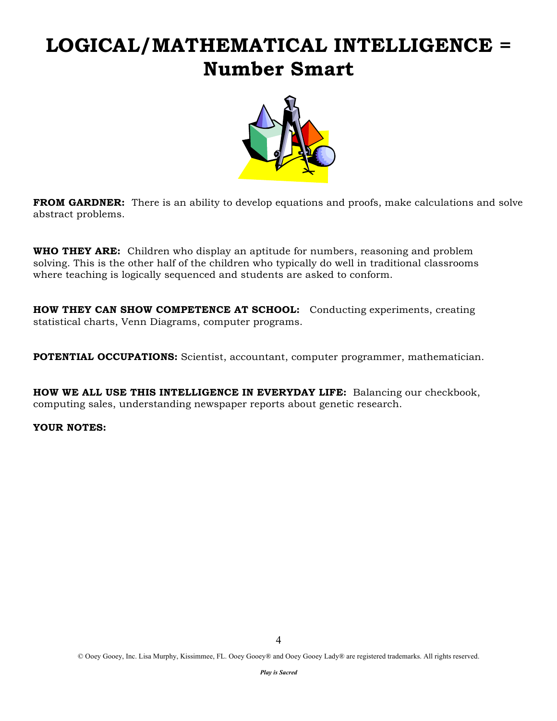# **LOGICAL/MATHEMATICAL INTELLIGENCE = Number Smart**



**FROM GARDNER:** There is an ability to develop equations and proofs, make calculations and solve abstract problems.

**WHO THEY ARE:** Children who display an aptitude for numbers, reasoning and problem solving. This is the other half of the children who typically do well in traditional classrooms where teaching is logically sequenced and students are asked to conform.

**HOW THEY CAN SHOW COMPETENCE AT SCHOOL:** Conducting experiments, creating statistical charts, Venn Diagrams, computer programs.

**POTENTIAL OCCUPATIONS:** Scientist, accountant, computer programmer, mathematician.

**HOW WE ALL USE THIS INTELLIGENCE IN EVERYDAY LIFE:** Balancing our checkbook, computing sales, understanding newspaper reports about genetic research.

### **YOUR NOTES:**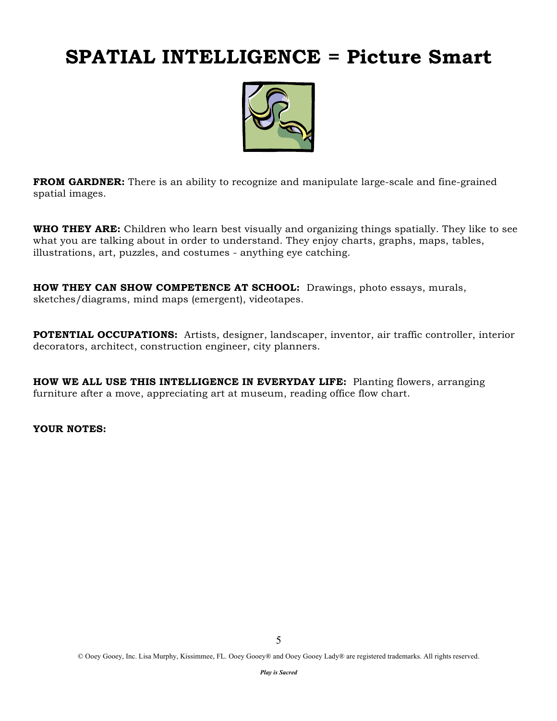# **SPATIAL INTELLIGENCE = Picture Smart**



**FROM GARDNER:** There is an ability to recognize and manipulate large-scale and fine-grained spatial images.

**WHO THEY ARE:** Children who learn best visually and organizing things spatially. They like to see what you are talking about in order to understand. They enjoy charts, graphs, maps, tables, illustrations, art, puzzles, and costumes - anything eye catching.

**HOW THEY CAN SHOW COMPETENCE AT SCHOOL:** Drawings, photo essays, murals, sketches/diagrams, mind maps (emergent), videotapes.

**POTENTIAL OCCUPATIONS:** Artists, designer, landscaper, inventor, air traffic controller, interior decorators, architect, construction engineer, city planners.

**HOW WE ALL USE THIS INTELLIGENCE IN EVERYDAY LIFE:** Planting flowers, arranging furniture after a move, appreciating art at museum, reading office flow chart.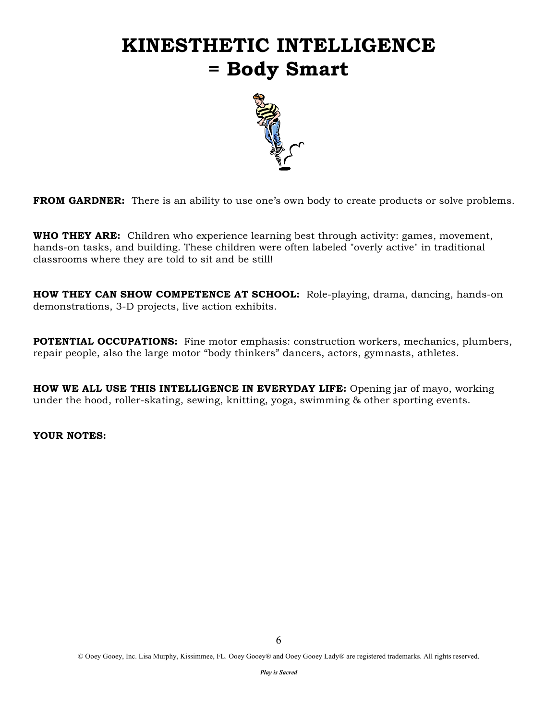# **KINESTHETIC INTELLIGENCE = Body Smart**



**FROM GARDNER:** There is an ability to use one's own body to create products or solve problems.

**WHO THEY ARE:** Children who experience learning best through activity: games, movement, hands-on tasks, and building. These children were often labeled "overly active" in traditional classrooms where they are told to sit and be still!

**HOW THEY CAN SHOW COMPETENCE AT SCHOOL:** Role-playing, drama, dancing, hands-on demonstrations, 3-D projects, live action exhibits.

**POTENTIAL OCCUPATIONS:** Fine motor emphasis: construction workers, mechanics, plumbers, repair people, also the large motor "body thinkers" dancers, actors, gymnasts, athletes.

**HOW WE ALL USE THIS INTELLIGENCE IN EVERYDAY LIFE:** Opening jar of mayo, working under the hood, roller-skating, sewing, knitting, yoga, swimming & other sporting events.

#### **YOUR NOTES:**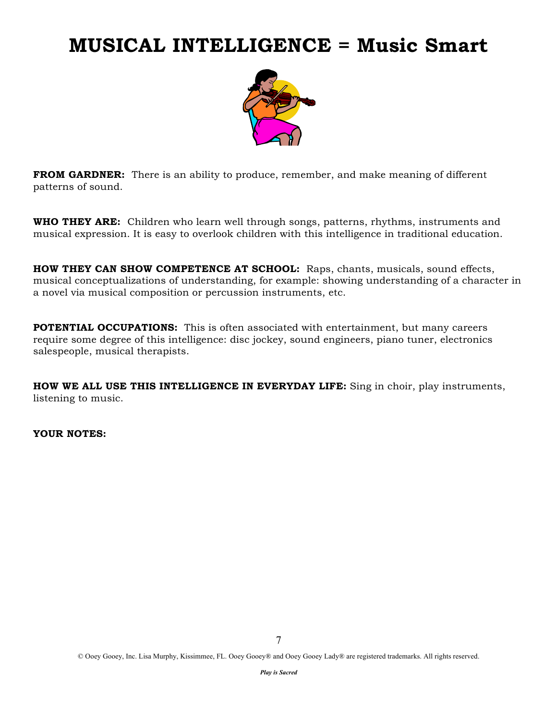### **MUSICAL INTELLIGENCE = Music Smart**



**FROM GARDNER:** There is an ability to produce, remember, and make meaning of different patterns of sound.

**WHO THEY ARE:** Children who learn well through songs, patterns, rhythms, instruments and musical expression. It is easy to overlook children with this intelligence in traditional education.

**HOW THEY CAN SHOW COMPETENCE AT SCHOOL:** Raps, chants, musicals, sound effects, musical conceptualizations of understanding, for example: showing understanding of a character in a novel via musical composition or percussion instruments, etc.

**POTENTIAL OCCUPATIONS:** This is often associated with entertainment, but many careers require some degree of this intelligence: disc jockey, sound engineers, piano tuner, electronics salespeople, musical therapists.

**HOW WE ALL USE THIS INTELLIGENCE IN EVERYDAY LIFE:** Sing in choir, play instruments, listening to music.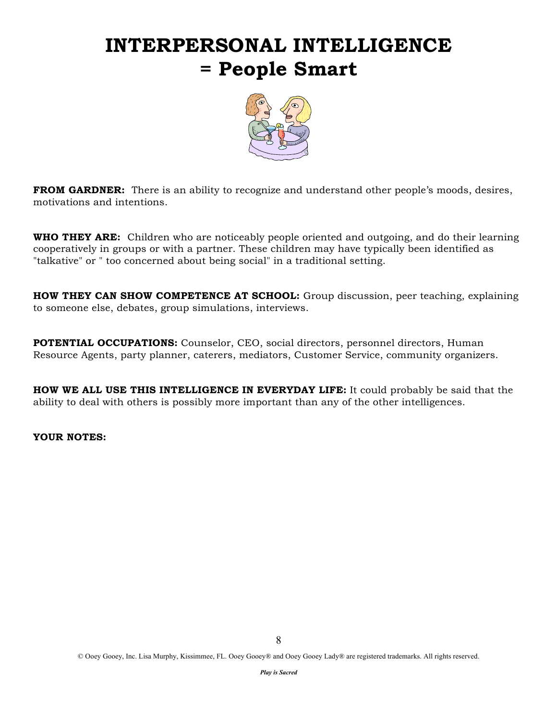# **INTERPERSONAL INTELLIGENCE = People Smart**



**FROM GARDNER:** There is an ability to recognize and understand other people's moods, desires, motivations and intentions.

**WHO THEY ARE:** Children who are noticeably people oriented and outgoing, and do their learning cooperatively in groups or with a partner. These children may have typically been identified as "talkative" or " too concerned about being social" in a traditional setting.

**HOW THEY CAN SHOW COMPETENCE AT SCHOOL:** Group discussion, peer teaching, explaining to someone else, debates, group simulations, interviews.

**POTENTIAL OCCUPATIONS:** Counselor, CEO, social directors, personnel directors, Human Resource Agents, party planner, caterers, mediators, Customer Service, community organizers.

**HOW WE ALL USE THIS INTELLIGENCE IN EVERYDAY LIFE:** It could probably be said that the ability to deal with others is possibly more important than any of the other intelligences.

#### **YOUR NOTES:**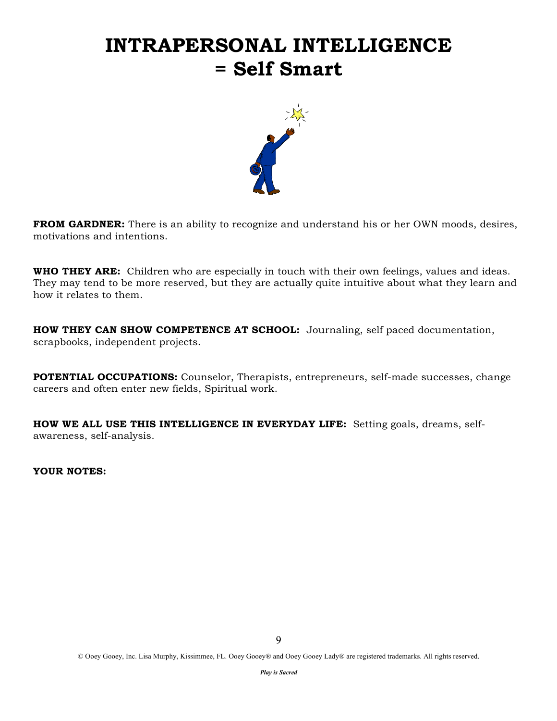## **INTRAPERSONAL INTELLIGENCE = Self Smart**



**FROM GARDNER:** There is an ability to recognize and understand his or her OWN moods, desires, motivations and intentions.

**WHO THEY ARE:** Children who are especially in touch with their own feelings, values and ideas. They may tend to be more reserved, but they are actually quite intuitive about what they learn and how it relates to them.

**HOW THEY CAN SHOW COMPETENCE AT SCHOOL:** Journaling, self paced documentation, scrapbooks, independent projects.

**POTENTIAL OCCUPATIONS:** Counselor, Therapists, entrepreneurs, self-made successes, change careers and often enter new fields, Spiritual work.

**HOW WE ALL USE THIS INTELLIGENCE IN EVERYDAY LIFE:** Setting goals, dreams, selfawareness, self-analysis.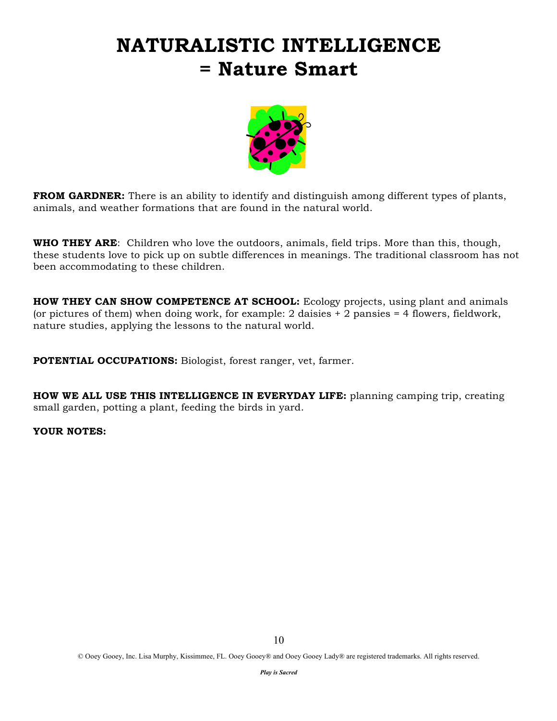# **NATURALISTIC INTELLIGENCE = Nature Smart**



**FROM GARDNER:** There is an ability to identify and distinguish among different types of plants, animals, and weather formations that are found in the natural world.

**WHO THEY ARE**: Children who love the outdoors, animals, field trips. More than this, though, these students love to pick up on subtle differences in meanings. The traditional classroom has not been accommodating to these children.

**HOW THEY CAN SHOW COMPETENCE AT SCHOOL:** Ecology projects, using plant and animals (or pictures of them) when doing work, for example: 2 daisies  $+2$  pansies  $= 4$  flowers, fieldwork, nature studies, applying the lessons to the natural world.

**POTENTIAL OCCUPATIONS:** Biologist, forest ranger, vet, farmer.

**HOW WE ALL USE THIS INTELLIGENCE IN EVERYDAY LIFE:** planning camping trip, creating small garden, potting a plant, feeding the birds in yard.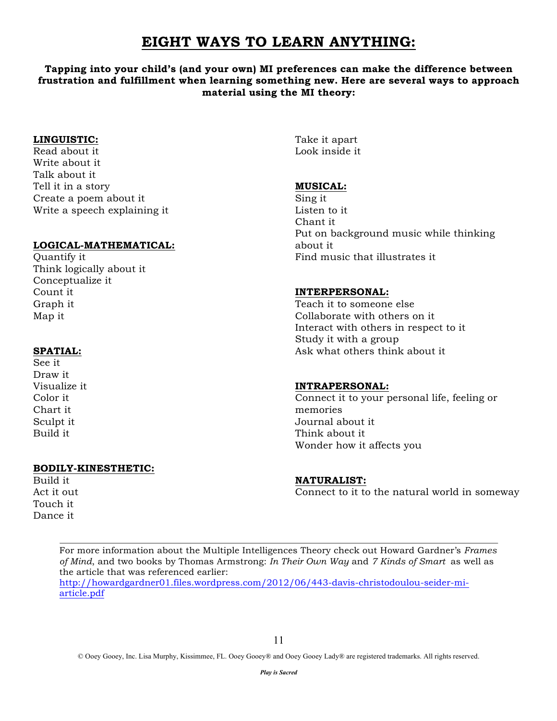### **EIGHT WAYS TO LEARN ANYTHING:**

### **Tapping into your child's (and your own) MI preferences can make the difference between frustration and fulfillment when learning something new. Here are several ways to approach material using the MI theory:**

#### **LINGUISTIC:**

Read about it Write about it Talk about it Tell it in a story Create a poem about it Write a speech explaining it

### **LOGICAL-MATHEMATICAL:**

Quantify it Think logically about it Conceptualize it Count it Graph it Map it

### **SPATIAL:**

See it Draw it Visualize it Color it Chart it Sculpt it Build it

### **BODILY-KINESTHETIC:**

Build it Act it out Touch it Dance it

Take it apart Look inside it

### **MUSICAL:**

Sing it Listen to it Chant it Put on background music while thinking about it Find music that illustrates it

#### **INTERPERSONAL:**

Teach it to someone else Collaborate with others on it Interact with others in respect to it Study it with a group Ask what others think about it

### **INTRAPERSONAL:**

Connect it to your personal life, feeling or memories Journal about it Think about it Wonder how it affects you

### **NATURALIST:**

Connect to it to the natural world in someway

For more information about the Multiple Intelligences Theory check out Howard Gardner's *Frames of Mind*, and two books by Thomas Armstrong: *In Their Own Way* and *7 Kinds of Smart* as well as the article that was referenced earlier: http://howardgardner01.files.wordpress.com/2012/06/443-davis-christodoulou-seider-miarticle.pdf